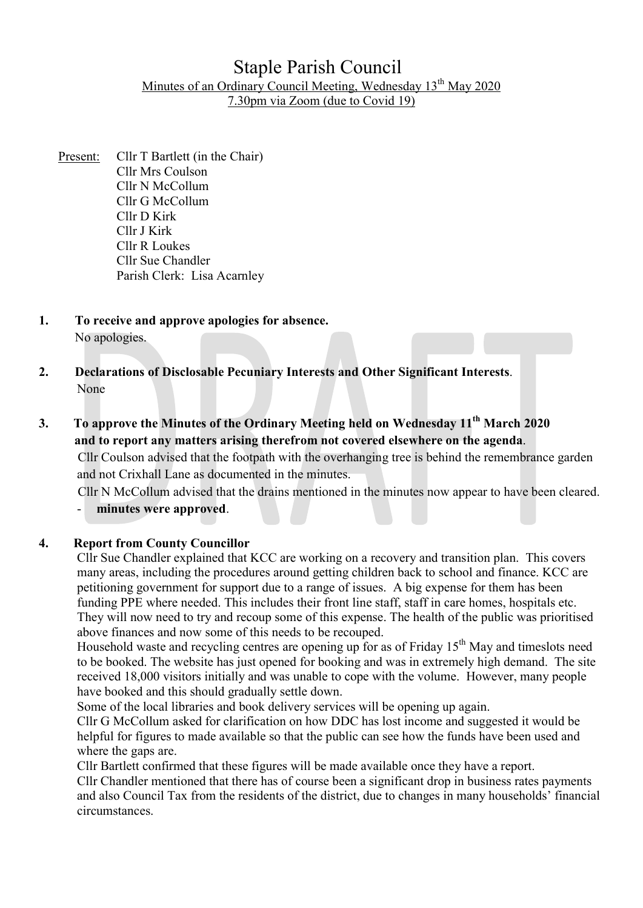## Staple Parish Council Minutes of an Ordinary Council Meeting, Wednesday 13<sup>th</sup> May 2020 7.30pm via Zoom (due to Covid 19)

- Present: Cllr T Bartlett (in the Chair) Cllr Mrs Coulson Cllr N McCollum Cllr G McCollum Cllr D Kirk Cllr J Kirk Cllr R Loukes Cllr Sue Chandler Parish Clerk: Lisa Acarnley
- 1. To receive and approve apologies for absence. No apologies.
- 2. Declarations of Disclosable Pecuniary Interests and Other Significant Interests. None
- 3. To approve the Minutes of the Ordinary Meeting held on Wednesday 11<sup>th</sup> March 2020 and to report any matters arising therefrom not covered elsewhere on the agenda.

Cllr Coulson advised that the footpath with the overhanging tree is behind the remembrance garden and not Crixhall Lane as documented in the minutes.

Cllr N McCollum advised that the drains mentioned in the minutes now appear to have been cleared. minutes were approved.

## 4. Report from County Councillor

Cllr Sue Chandler explained that KCC are working on a recovery and transition plan. This covers many areas, including the procedures around getting children back to school and finance. KCC are petitioning government for support due to a range of issues. A big expense for them has been funding PPE where needed. This includes their front line staff, staff in care homes, hospitals etc. They will now need to try and recoup some of this expense. The health of the public was prioritised above finances and now some of this needs to be recouped.

Household waste and recycling centres are opening up for as of Friday  $15<sup>th</sup>$  May and timeslots need to be booked. The website has just opened for booking and was in extremely high demand. The site received 18,000 visitors initially and was unable to cope with the volume. However, many people have booked and this should gradually settle down.

Some of the local libraries and book delivery services will be opening up again.

Cllr G McCollum asked for clarification on how DDC has lost income and suggested it would be helpful for figures to made available so that the public can see how the funds have been used and where the gaps are.

Cllr Bartlett confirmed that these figures will be made available once they have a report.

Cllr Chandler mentioned that there has of course been a significant drop in business rates payments and also Council Tax from the residents of the district, due to changes in many households' financial circumstances.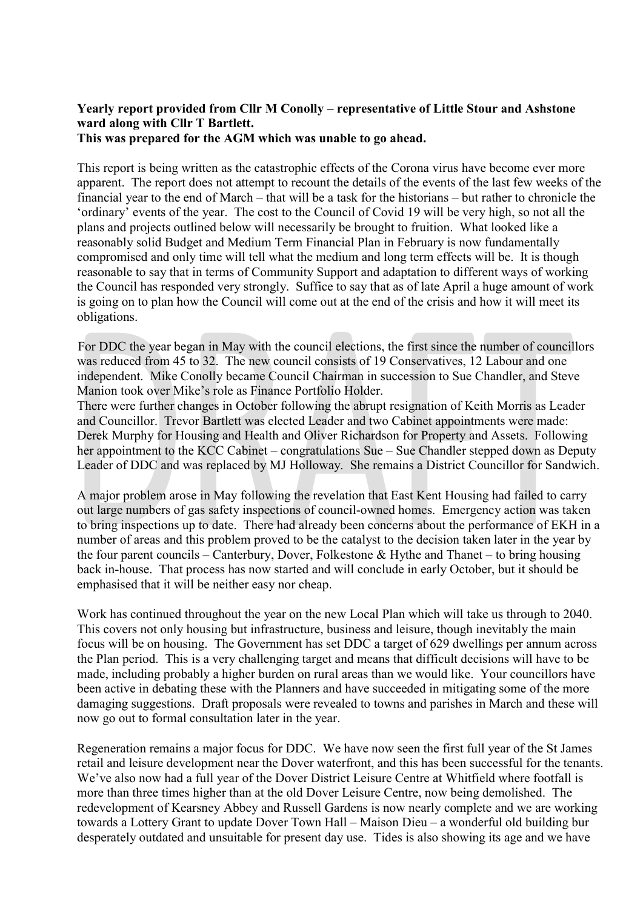# Yearly report provided from Cllr M Conolly – representative of Little Stour and Ashstone ward along with Cllr T Bartlett.

This was prepared for the AGM which was unable to go ahead.

This report is being written as the catastrophic effects of the Corona virus have become ever more apparent. The report does not attempt to recount the details of the events of the last few weeks of the financial year to the end of March – that will be a task for the historians – but rather to chronicle the 'ordinary' events of the year. The cost to the Council of Covid 19 will be very high, so not all the plans and projects outlined below will necessarily be brought to fruition. What looked like a reasonably solid Budget and Medium Term Financial Plan in February is now fundamentally compromised and only time will tell what the medium and long term effects will be. It is though reasonable to say that in terms of Community Support and adaptation to different ways of working the Council has responded very strongly. Suffice to say that as of late April a huge amount of work is going on to plan how the Council will come out at the end of the crisis and how it will meet its obligations.

For DDC the year began in May with the council elections, the first since the number of councillors was reduced from 45 to 32. The new council consists of 19 Conservatives, 12 Labour and one independent. Mike Conolly became Council Chairman in succession to Sue Chandler, and Steve Manion took over Mike's role as Finance Portfolio Holder.

There were further changes in October following the abrupt resignation of Keith Morris as Leader and Councillor. Trevor Bartlett was elected Leader and two Cabinet appointments were made: Derek Murphy for Housing and Health and Oliver Richardson for Property and Assets. Following her appointment to the KCC Cabinet – congratulations Sue – Sue Chandler stepped down as Deputy Leader of DDC and was replaced by MJ Holloway. She remains a District Councillor for Sandwich.

A major problem arose in May following the revelation that East Kent Housing had failed to carry out large numbers of gas safety inspections of council-owned homes. Emergency action was taken to bring inspections up to date. There had already been concerns about the performance of EKH in a number of areas and this problem proved to be the catalyst to the decision taken later in the year by the four parent councils – Canterbury, Dover, Folkestone & Hythe and Thanet – to bring housing back in-house. That process has now started and will conclude in early October, but it should be emphasised that it will be neither easy nor cheap.

Work has continued throughout the year on the new Local Plan which will take us through to 2040. This covers not only housing but infrastructure, business and leisure, though inevitably the main focus will be on housing. The Government has set DDC a target of 629 dwellings per annum across the Plan period. This is a very challenging target and means that difficult decisions will have to be made, including probably a higher burden on rural areas than we would like. Your councillors have been active in debating these with the Planners and have succeeded in mitigating some of the more damaging suggestions. Draft proposals were revealed to towns and parishes in March and these will now go out to formal consultation later in the year.

Regeneration remains a major focus for DDC. We have now seen the first full year of the St James retail and leisure development near the Dover waterfront, and this has been successful for the tenants. We've also now had a full year of the Dover District Leisure Centre at Whitfield where footfall is more than three times higher than at the old Dover Leisure Centre, now being demolished. The redevelopment of Kearsney Abbey and Russell Gardens is now nearly complete and we are working towards a Lottery Grant to update Dover Town Hall – Maison Dieu – a wonderful old building bur desperately outdated and unsuitable for present day use. Tides is also showing its age and we have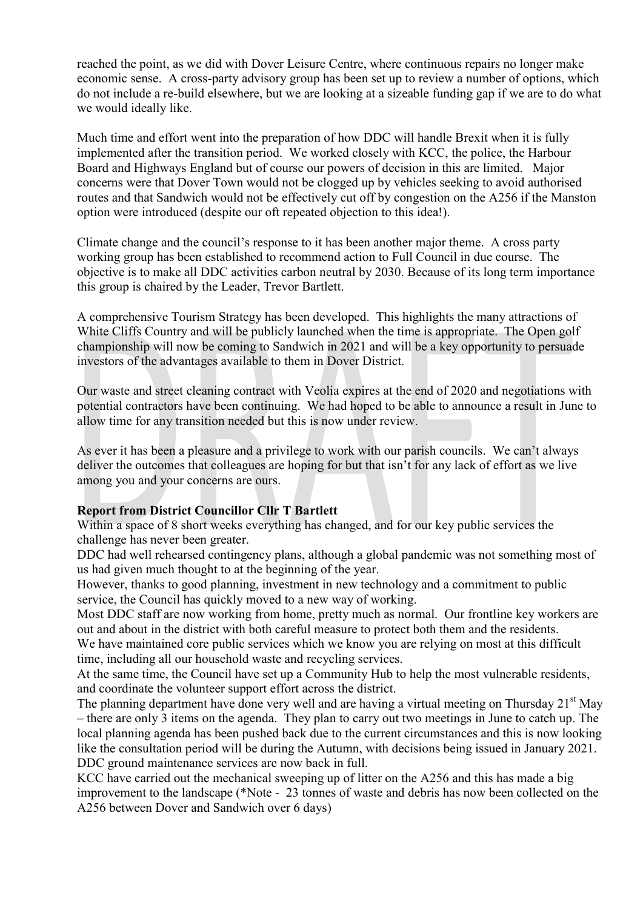reached the point, as we did with Dover Leisure Centre, where continuous repairs no longer make economic sense. A cross-party advisory group has been set up to review a number of options, which do not include a re-build elsewhere, but we are looking at a sizeable funding gap if we are to do what we would ideally like.

Much time and effort went into the preparation of how DDC will handle Brexit when it is fully implemented after the transition period. We worked closely with KCC, the police, the Harbour Board and Highways England but of course our powers of decision in this are limited. Major concerns were that Dover Town would not be clogged up by vehicles seeking to avoid authorised routes and that Sandwich would not be effectively cut off by congestion on the A256 if the Manston option were introduced (despite our oft repeated objection to this idea!).

Climate change and the council's response to it has been another major theme. A cross party working group has been established to recommend action to Full Council in due course. The objective is to make all DDC activities carbon neutral by 2030. Because of its long term importance this group is chaired by the Leader, Trevor Bartlett.

A comprehensive Tourism Strategy has been developed. This highlights the many attractions of White Cliffs Country and will be publicly launched when the time is appropriate. The Open golf championship will now be coming to Sandwich in 2021 and will be a key opportunity to persuade investors of the advantages available to them in Dover District.

Our waste and street cleaning contract with Veolia expires at the end of 2020 and negotiations with potential contractors have been continuing. We had hoped to be able to announce a result in June to allow time for any transition needed but this is now under review.

As ever it has been a pleasure and a privilege to work with our parish councils. We can't always deliver the outcomes that colleagues are hoping for but that isn't for any lack of effort as we live among you and your concerns are ours.

#### Report from District Councillor Cllr T Bartlett

Within a space of 8 short weeks everything has changed, and for our key public services the challenge has never been greater.

DDC had well rehearsed contingency plans, although a global pandemic was not something most of us had given much thought to at the beginning of the year.

However, thanks to good planning, investment in new technology and a commitment to public service, the Council has quickly moved to a new way of working.

Most DDC staff are now working from home, pretty much as normal. Our frontline key workers are out and about in the district with both careful measure to protect both them and the residents.

We have maintained core public services which we know you are relying on most at this difficult time, including all our household waste and recycling services.

At the same time, the Council have set up a Community Hub to help the most vulnerable residents, and coordinate the volunteer support effort across the district.

The planning department have done very well and are having a virtual meeting on Thursday  $21<sup>st</sup>$  May – there are only 3 items on the agenda. They plan to carry out two meetings in June to catch up. The local planning agenda has been pushed back due to the current circumstances and this is now looking like the consultation period will be during the Autumn, with decisions being issued in January 2021. DDC ground maintenance services are now back in full.

KCC have carried out the mechanical sweeping up of litter on the A256 and this has made a big improvement to the landscape (\*Note - 23 tonnes of waste and debris has now been collected on the A256 between Dover and Sandwich over 6 days)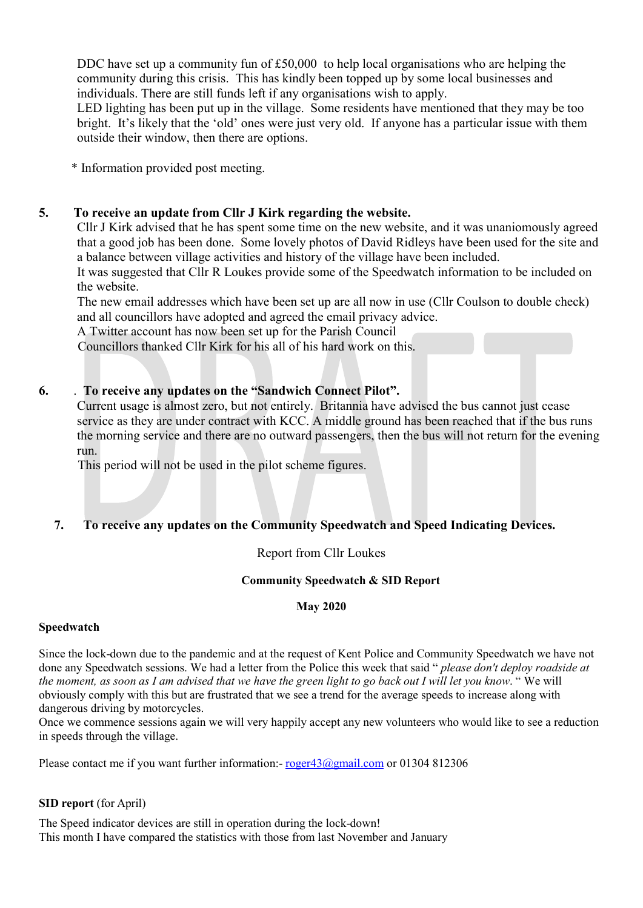DDC have set up a community fun of £50,000 to help local organisations who are helping the community during this crisis. This has kindly been topped up by some local businesses and individuals. There are still funds left if any organisations wish to apply.

LED lighting has been put up in the village. Some residents have mentioned that they may be too bright. It's likely that the 'old' ones were just very old. If anyone has a particular issue with them outside their window, then there are options.

\* Information provided post meeting.

## 5. To receive an update from Cllr J Kirk regarding the website.

Cllr J Kirk advised that he has spent some time on the new website, and it was unaniomously agreed that a good job has been done. Some lovely photos of David Ridleys have been used for the site and a balance between village activities and history of the village have been included.

It was suggested that Cllr R Loukes provide some of the Speedwatch information to be included on the website.

The new email addresses which have been set up are all now in use (Cllr Coulson to double check) and all councillors have adopted and agreed the email privacy advice.

A Twitter account has now been set up for the Parish Council

Councillors thanked Cllr Kirk for his all of his hard work on this.

## 6. . To receive any updates on the "Sandwich Connect Pilot".

Current usage is almost zero, but not entirely. Britannia have advised the bus cannot just cease service as they are under contract with KCC. A middle ground has been reached that if the bus runs the morning service and there are no outward passengers, then the bus will not return for the evening run.

This period will not be used in the pilot scheme figures.

## 7. To receive any updates on the Community Speedwatch and Speed Indicating Devices.

## Report from Cllr Loukes

#### Community Speedwatch & SID Report

#### May 2020

#### Speedwatch

Since the lock-down due to the pandemic and at the request of Kent Police and Community Speedwatch we have not done any Speedwatch sessions. We had a letter from the Police this week that said "*please don't deploy roadside at* the moment, as soon as I am advised that we have the green light to go back out I will let you know. " We will obviously comply with this but are frustrated that we see a trend for the average speeds to increase along with dangerous driving by motorcycles.

Once we commence sessions again we will very happily accept any new volunteers who would like to see a reduction in speeds through the village.

Please contact me if you want further information:- roger43@gmail.com or 01304 812306

#### SID report (for April)

The Speed indicator devices are still in operation during the lock-down! This month I have compared the statistics with those from last November and January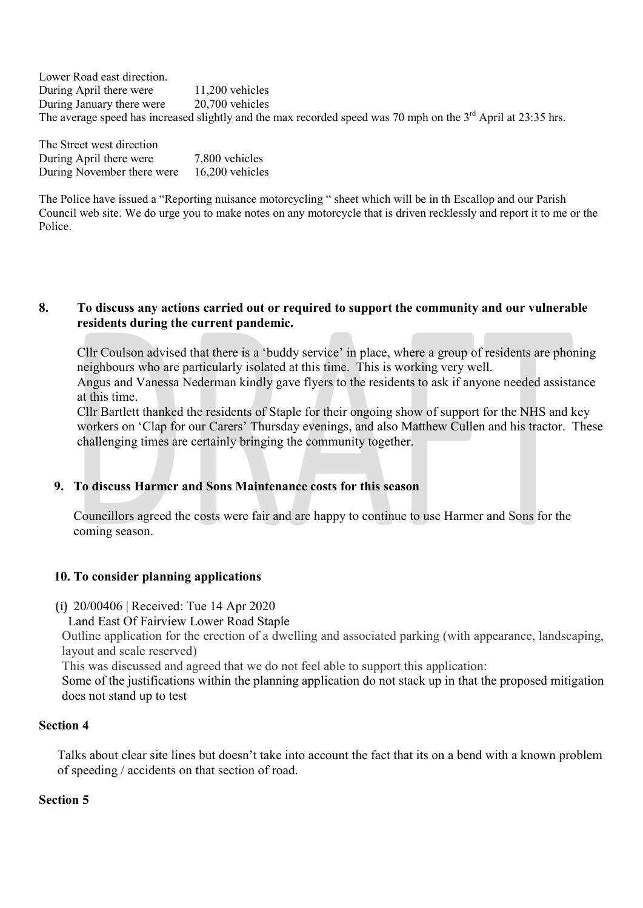Lower Road east direction. During April there were 11,200 vehicles During January there were 20,700 vehicles The average speed has increased slightly and the max recorded speed was 70 mph on the  $3<sup>rd</sup>$  April at 23:35 hrs.

The Street west direction During April there were 7,800 vehicles During November there were 16,200 vehicles

The Police have issued a "Reporting nuisance motorcycling " sheet which will be in th Escallop and our Parish Council web site. We do urge you to make notes on any motorcycle that is driven recklessly and report it to me or the Police.

#### 8. To discuss any actions carried out or required to support the community and our vulnerable residents during the current pandemic.

Cllr Coulson advised that there is a 'buddy service' in place, where a group of residents are phoning neighbours who are particularly isolated at this time. This is working very well.

Angus and Vanessa Nederman kindly gave flyers to the residents to ask if anyone needed assistance at this time.

Cllr Bartlett thanked the residents of Staple for their ongoing show of support for the NHS and key workers on 'Clap for our Carers' Thursday evenings, and also Matthew Cullen and his tractor. These challenging times are certainly bringing the community together.

## 9. To discuss Harmer and Sons Maintenance costs for this season

Councillors agreed the costs were fair and are happy to continue to use Harmer and Sons for the coming season.

## 10. To consider planning applications

- (i) 20/00406 | Received: Tue 14 Apr 2020
	- Land East Of Fairview Lower Road Staple

Outline application for the erection of a dwelling and associated parking (with appearance, landscaping, layout and scale reserved)

This was discussed and agreed that we do not feel able to support this application:

Some of the justifications within the planning application do not stack up in that the proposed mitigation does not stand up to test

## Section 4

Talks about clear site lines but doesn't take into account the fact that its on a bend with a known problem of speeding / accidents on that section of road.

## Section 5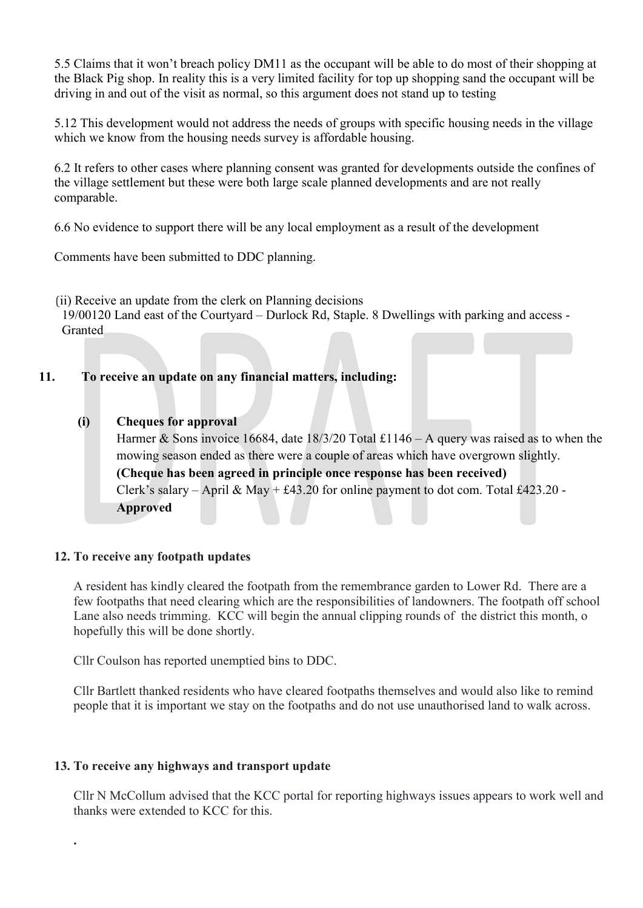5.5 Claims that it won't breach policy DM11 as the occupant will be able to do most of their shopping at the Black Pig shop. In reality this is a very limited facility for top up shopping sand the occupant will be driving in and out of the visit as normal, so this argument does not stand up to testing

5.12 This development would not address the needs of groups with specific housing needs in the village which we know from the housing needs survey is affordable housing.

6.2 It refers to other cases where planning consent was granted for developments outside the confines of the village settlement but these were both large scale planned developments and are not really comparable.

6.6 No evidence to support there will be any local employment as a result of the development

Comments have been submitted to DDC planning.

(ii) Receive an update from the clerk on Planning decisions

19/00120 Land east of the Courtyard – Durlock Rd, Staple. 8 Dwellings with parking and access - Granted

## 11. To receive an update on any financial matters, including:

### (i) Cheques for approval

Harmer & Sons invoice 16684, date  $18/3/20$  Total £1146 – A query was raised as to when the mowing season ended as there were a couple of areas which have overgrown slightly. (Cheque has been agreed in principle once response has been received) Clerk's salary – April & May +  $\text{\pounds}43.20$  for online payment to dot com. Total  $\text{\pounds}423.20$  -Approved

#### 12. To receive any footpath updates

A resident has kindly cleared the footpath from the remembrance garden to Lower Rd. There are a few footpaths that need clearing which are the responsibilities of landowners. The footpath off school Lane also needs trimming. KCC will begin the annual clipping rounds of the district this month, o hopefully this will be done shortly.

Cllr Coulson has reported unemptied bins to DDC.

Cllr Bartlett thanked residents who have cleared footpaths themselves and would also like to remind people that it is important we stay on the footpaths and do not use unauthorised land to walk across.

## 13. To receive any highways and transport update

.

Cllr N McCollum advised that the KCC portal for reporting highways issues appears to work well and thanks were extended to KCC for this.